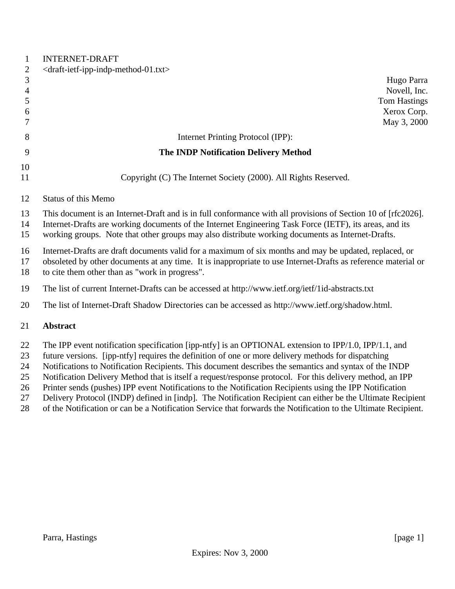| <draft-ietf-ipp-indp-method-01.txt></draft-ietf-ipp-indp-method-01.txt>                                                                                                                                                                                                                                                                                                                                                             |
|-------------------------------------------------------------------------------------------------------------------------------------------------------------------------------------------------------------------------------------------------------------------------------------------------------------------------------------------------------------------------------------------------------------------------------------|
| Hugo Parra                                                                                                                                                                                                                                                                                                                                                                                                                          |
| Novell, Inc.                                                                                                                                                                                                                                                                                                                                                                                                                        |
| <b>Tom Hastings</b>                                                                                                                                                                                                                                                                                                                                                                                                                 |
| Xerox Corp.                                                                                                                                                                                                                                                                                                                                                                                                                         |
| May 3, 2000                                                                                                                                                                                                                                                                                                                                                                                                                         |
| Internet Printing Protocol (IPP):                                                                                                                                                                                                                                                                                                                                                                                                   |
| <b>The INDP Notification Delivery Method</b>                                                                                                                                                                                                                                                                                                                                                                                        |
|                                                                                                                                                                                                                                                                                                                                                                                                                                     |
| Copyright (C) The Internet Society (2000). All Rights Reserved.                                                                                                                                                                                                                                                                                                                                                                     |
| <b>Status of this Memo</b>                                                                                                                                                                                                                                                                                                                                                                                                          |
| This document is an Internet-Draft and is in full conformance with all provisions of Section 10 of [rfc2026].<br>Internet-Drafts are working documents of the Internet Engineering Task Force (IETF), its areas, and its<br>working groups. Note that other groups may also distribute working documents as Internet-Drafts.                                                                                                        |
| Internet-Drafts are draft documents valid for a maximum of six months and may be updated, replaced, or<br>obsoleted by other documents at any time. It is inappropriate to use Internet-Drafts as reference material or<br>to cite them other than as "work in progress".                                                                                                                                                           |
| The list of current Internet-Drafts can be accessed at http://www.ietf.org/ietf/1id-abstracts.txt                                                                                                                                                                                                                                                                                                                                   |
| The list of Internet-Draft Shadow Directories can be accessed as http://www.ietf.org/shadow.html.                                                                                                                                                                                                                                                                                                                                   |
| <b>Abstract</b>                                                                                                                                                                                                                                                                                                                                                                                                                     |
| The IPP event notification specification [ipp-ntfy] is an OPTIONAL extension to IPP/1.0, IPP/1.1, and<br>future versions. [ipp-ntfy] requires the definition of one or more delivery methods for dispatching<br>Notifications to Notification Recipients. This document describes the semantics and syntax of the INDP<br>Notification Delivery Method that is itself a request/response protocol. For this delivery method, an IPP |
|                                                                                                                                                                                                                                                                                                                                                                                                                                     |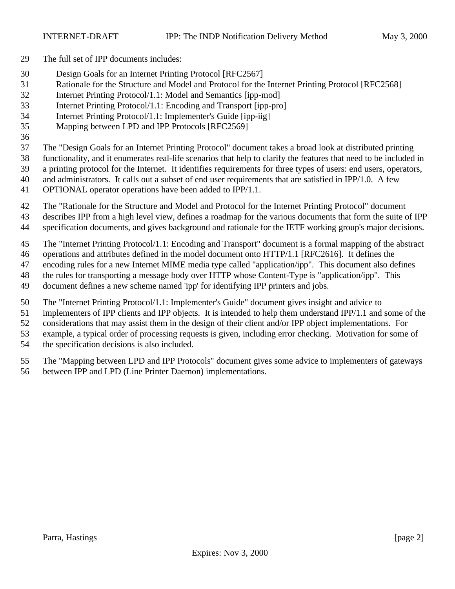- The full set of IPP documents includes:
- Design Goals for an Internet Printing Protocol [RFC2567]
- Rationale for the Structure and Model and Protocol for the Internet Printing Protocol [RFC2568]
- Internet Printing Protocol/1.1: Model and Semantics [ipp-mod]
- Internet Printing Protocol/1.1: Encoding and Transport [ipp-pro]
- Internet Printing Protocol/1.1: Implementer's Guide [ipp-iig]
- Mapping between LPD and IPP Protocols [RFC2569]
- 

The "Design Goals for an Internet Printing Protocol" document takes a broad look at distributed printing

- functionality, and it enumerates real-life scenarios that help to clarify the features that need to be included in
- a printing protocol for the Internet. It identifies requirements for three types of users: end users, operators,
- and administrators. It calls out a subset of end user requirements that are satisfied in IPP/1.0. A few
- OPTIONAL operator operations have been added to IPP/1.1.
- The "Rationale for the Structure and Model and Protocol for the Internet Printing Protocol" document
- describes IPP from a high level view, defines a roadmap for the various documents that form the suite of IPP
- specification documents, and gives background and rationale for the IETF working group's major decisions.
- The "Internet Printing Protocol/1.1: Encoding and Transport" document is a formal mapping of the abstract
- operations and attributes defined in the model document onto HTTP/1.1 [RFC2616]. It defines the
- encoding rules for a new Internet MIME media type called "application/ipp". This document also defines
- the rules for transporting a message body over HTTP whose Content-Type is "application/ipp". This
- document defines a new scheme named 'ipp' for identifying IPP printers and jobs.
- The "Internet Printing Protocol/1.1: Implementer's Guide" document gives insight and advice to
- implementers of IPP clients and IPP objects. It is intended to help them understand IPP/1.1 and some of the
- considerations that may assist them in the design of their client and/or IPP object implementations. For
- example, a typical order of processing requests is given, including error checking. Motivation for some of
- the specification decisions is also included.
- The "Mapping between LPD and IPP Protocols" document gives some advice to implementers of gateways between IPP and LPD (Line Printer Daemon) implementations.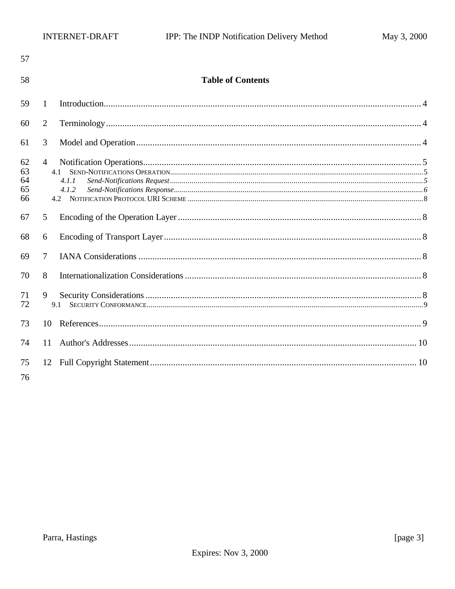| 57                         |                                         |                          |
|----------------------------|-----------------------------------------|--------------------------|
| 58                         |                                         | <b>Table of Contents</b> |
| 59                         | $\mathbf{1}$                            |                          |
| 60                         | 2                                       |                          |
| 61                         | 3                                       |                          |
| 62<br>63<br>64<br>65<br>66 | $\overline{4}$<br>4.1<br>4.1.1<br>4.1.2 |                          |
| 67                         | 5                                       |                          |
| 68                         | 6                                       |                          |
| 69                         | $\overline{7}$                          |                          |
| 70                         | 8                                       |                          |
| 71<br>72                   | 9<br>9.1                                |                          |
| 73                         | 10 <sup>1</sup>                         |                          |
| 74                         | 11                                      |                          |
| 75<br>76                   |                                         |                          |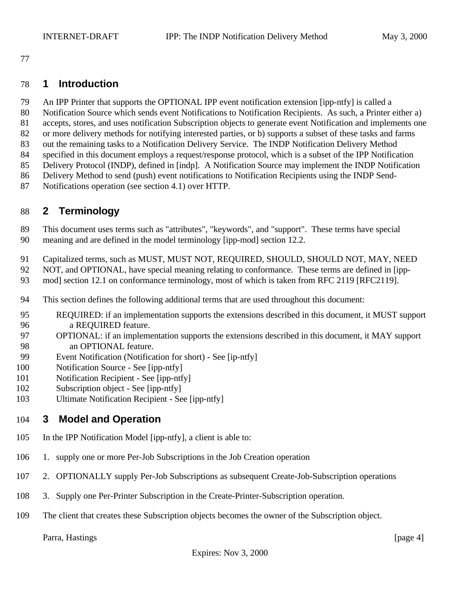#### **1 Introduction**

- An IPP Printer that supports the OPTIONAL IPP event notification extension [ipp-ntfy] is called a
- Notification Source which sends event Notifications to Notification Recipients. As such, a Printer either a)
- accepts, stores, and uses notification Subscription objects to generate event Notification and implements one
- or more delivery methods for notifying interested parties, or b) supports a subset of these tasks and farms out the remaining tasks to a Notification Delivery Service. The INDP Notification Delivery Method
- specified in this document employs a request/response protocol, which is a subset of the IPP Notification
- Delivery Protocol (INDP), defined in [indp]. A Notification Source may implement the INDP Notification
- Delivery Method to send (push) event notifications to Notification Recipients using the INDP Send-
- Notifications operation (see section 4.1) over HTTP.

# **2 Terminology**

- This document uses terms such as "attributes", "keywords", and "support". These terms have special meaning and are defined in the model terminology [ipp-mod] section 12.2.
- Capitalized terms, such as MUST, MUST NOT, REQUIRED, SHOULD, SHOULD NOT, MAY, NEED
- NOT, and OPTIONAL, have special meaning relating to conformance. These terms are defined in [ipp-
- mod] section 12.1 on conformance terminology, most of which is taken from RFC 2119 [RFC2119].
- This section defines the following additional terms that are used throughout this document:
- REQUIRED: if an implementation supports the extensions described in this document, it MUST support a REQUIRED feature.
- OPTIONAL: if an implementation supports the extensions described in this document, it MAY support an OPTIONAL feature.
- Event Notification (Notification for short) See [ip-ntfy]
- Notification Source See [ipp-ntfy]
- Notification Recipient See [ipp-ntfy]
- Subscription object See [ipp-ntfy]
- Ultimate Notification Recipient See [ipp-ntfy]

# **3 Model and Operation**

- In the IPP Notification Model [ipp-ntfy], a client is able to:
- 1. supply one or more Per-Job Subscriptions in the Job Creation operation
- 2. OPTIONALLY supply Per-Job Subscriptions as subsequent Create-Job-Subscription operations
- 3. Supply one Per-Printer Subscription in the Create-Printer-Subscription operation.
- The client that creates these Subscription objects becomes the owner of the Subscription object.

Parra, Hastings [page 4]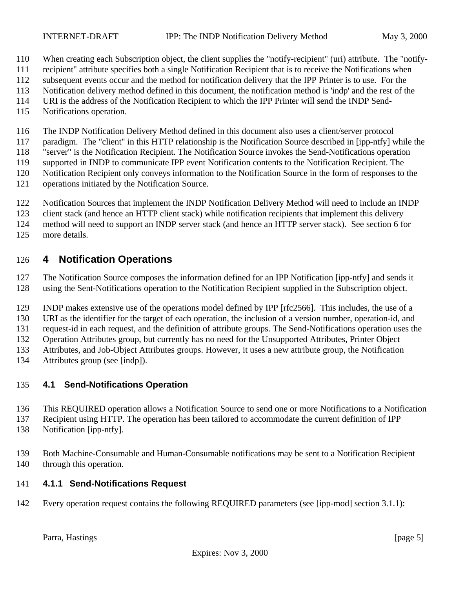- When creating each Subscription object, the client supplies the "notify-recipient" (uri) attribute. The "notify-
- recipient" attribute specifies both a single Notification Recipient that is to receive the Notifications when
- subsequent events occur and the method for notification delivery that the IPP Printer is to use. For the
- Notification delivery method defined in this document, the notification method is 'indp' and the rest of the
- URI is the address of the Notification Recipient to which the IPP Printer will send the INDP Send-
- Notifications operation.

The INDP Notification Delivery Method defined in this document also uses a client/server protocol

paradigm. The "client" in this HTTP relationship is the Notification Source described in [ipp-ntfy] while the

"server" is the Notification Recipient. The Notification Source invokes the Send-Notifications operation

- supported in INDP to communicate IPP event Notification contents to the Notification Recipient. The Notification Recipient only conveys information to the Notification Source in the form of responses to the
- operations initiated by the Notification Source.
- Notification Sources that implement the INDP Notification Delivery Method will need to include an INDP
- client stack (and hence an HTTP client stack) while notification recipients that implement this delivery
- method will need to support an INDP server stack (and hence an HTTP server stack). See section 6 for
- more details.

### **4 Notification Operations**

 The Notification Source composes the information defined for an IPP Notification [ipp-ntfy] and sends it using the Sent-Notifications operation to the Notification Recipient supplied in the Subscription object.

INDP makes extensive use of the operations model defined by IPP [rfc2566]. This includes, the use of a

URI as the identifier for the target of each operation, the inclusion of a version number, operation-id, and

request-id in each request, and the definition of attribute groups. The Send-Notifications operation uses the

Operation Attributes group, but currently has no need for the Unsupported Attributes, Printer Object

Attributes, and Job-Object Attributes groups. However, it uses a new attribute group, the Notification

Attributes group (see [indp]).

## **4.1 Send-Notifications Operation**

- This REQUIRED operation allows a Notification Source to send one or more Notifications to a Notification
- Recipient using HTTP. The operation has been tailored to accommodate the current definition of IPP
- Notification [ipp-ntfy].
- Both Machine-Consumable and Human-Consumable notifications may be sent to a Notification Recipient through this operation.

## **4.1.1 Send-Notifications Request**

Every operation request contains the following REQUIRED parameters (see [ipp-mod] section 3.1.1):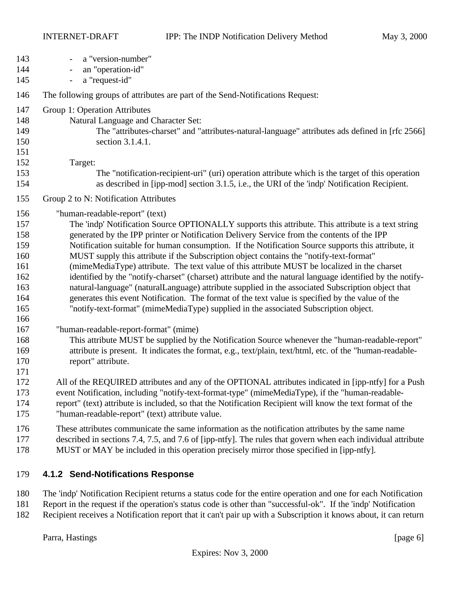| 143<br>144<br>145                                                                              | a "version-number"<br>an "operation-id"<br>a "request-id"<br>$\overline{\phantom{a}}$                                                                                                                                                                                                                                                                                                                                                                                                                                                                                                                                                                                                                                                                                                                                                                                                                                                                                                                                                                                                                                                                                                                      |
|------------------------------------------------------------------------------------------------|------------------------------------------------------------------------------------------------------------------------------------------------------------------------------------------------------------------------------------------------------------------------------------------------------------------------------------------------------------------------------------------------------------------------------------------------------------------------------------------------------------------------------------------------------------------------------------------------------------------------------------------------------------------------------------------------------------------------------------------------------------------------------------------------------------------------------------------------------------------------------------------------------------------------------------------------------------------------------------------------------------------------------------------------------------------------------------------------------------------------------------------------------------------------------------------------------------|
| 146                                                                                            | The following groups of attributes are part of the Send-Notifications Request:                                                                                                                                                                                                                                                                                                                                                                                                                                                                                                                                                                                                                                                                                                                                                                                                                                                                                                                                                                                                                                                                                                                             |
| 147<br>148<br>149<br>150<br>151<br>152<br>153                                                  | Group 1: Operation Attributes<br>Natural Language and Character Set:<br>The "attributes-charset" and "attributes-natural-language" attributes ads defined in [rfc 2566]<br>section 3.1.4.1.<br>Target:<br>The "notification-recipient-uri" (uri) operation attribute which is the target of this operation                                                                                                                                                                                                                                                                                                                                                                                                                                                                                                                                                                                                                                                                                                                                                                                                                                                                                                 |
| 154<br>155                                                                                     | as described in [ipp-mod] section 3.1.5, i.e., the URI of the 'indp' Notification Recipient.<br>Group 2 to N: Notification Attributes                                                                                                                                                                                                                                                                                                                                                                                                                                                                                                                                                                                                                                                                                                                                                                                                                                                                                                                                                                                                                                                                      |
| 156<br>157<br>158<br>159<br>160<br>161<br>162<br>163<br>164<br>165<br>166<br>167<br>168<br>169 | "human-readable-report" (text)<br>The 'indp' Notification Source OPTIONALLY supports this attribute. This attribute is a text string<br>generated by the IPP printer or Notification Delivery Service from the contents of the IPP<br>Notification suitable for human consumption. If the Notification Source supports this attribute, it<br>MUST supply this attribute if the Subscription object contains the "notify-text-format"<br>(mimeMediaType) attribute. The text value of this attribute MUST be localized in the charset<br>identified by the "notify-charset" (charset) attribute and the natural language identified by the notify-<br>natural-language" (naturalLanguage) attribute supplied in the associated Subscription object that<br>generates this event Notification. The format of the text value is specified by the value of the<br>"notify-text-format" (mimeMediaType) supplied in the associated Subscription object.<br>"human-readable-report-format" (mime)<br>This attribute MUST be supplied by the Notification Source whenever the "human-readable-report"<br>attribute is present. It indicates the format, e.g., text/plain, text/html, etc. of the "human-readable- |
| 170<br>171<br>172<br>173<br>174<br>175                                                         | report" attribute.<br>All of the REQUIRED attributes and any of the OPTIONAL attributes indicated in [ipp-ntfy] for a Push<br>event Notification, including "notify-text-format-type" (mimeMediaType), if the "human-readable-<br>report" (text) attribute is included, so that the Notification Recipient will know the text format of the<br>"human-readable-report" (text) attribute value.                                                                                                                                                                                                                                                                                                                                                                                                                                                                                                                                                                                                                                                                                                                                                                                                             |
| 176<br>177<br>178                                                                              | These attributes communicate the same information as the notification attributes by the same name<br>described in sections 7.4, 7.5, and 7.6 of [ipp-ntfy]. The rules that govern when each individual attribute<br>MUST or MAY be included in this operation precisely mirror those specified in [ipp-ntfy].                                                                                                                                                                                                                                                                                                                                                                                                                                                                                                                                                                                                                                                                                                                                                                                                                                                                                              |
| 179                                                                                            | 4.1.2 Send-Notifications Response                                                                                                                                                                                                                                                                                                                                                                                                                                                                                                                                                                                                                                                                                                                                                                                                                                                                                                                                                                                                                                                                                                                                                                          |

- The 'indp' Notification Recipient returns a status code for the entire operation and one for each Notification Report in the request if the operation's status code is other than "successful-ok". If the 'indp' Notification
- Recipient receives a Notification report that it can't pair up with a Subscription it knows about, it can return

Parra, Hastings [page 6]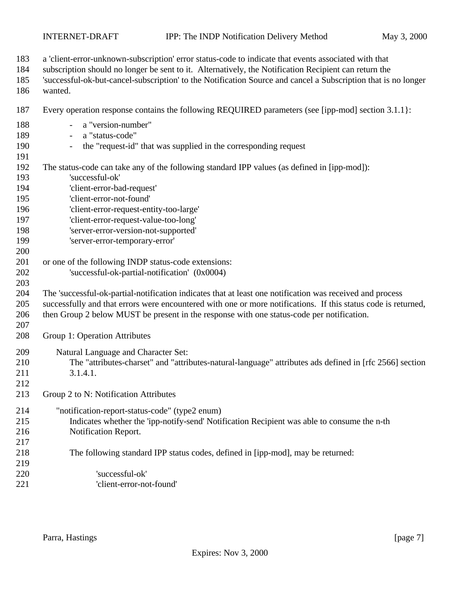- a 'client-error-unknown-subscription' error status-code to indicate that events associated with that subscription should no longer be sent to it. Alternatively, the Notification Recipient can return the 'successful-ok-but-cancel-subscription' to the Notification Source and cancel a Subscription that is no longer wanted. Every operation response contains the following REQUIRED parameters (see [ipp-mod] section 3.1.1}: - a "version-number" - a "status-code" - the "request-id" that was supplied in the corresponding request The status-code can take any of the following standard IPP values (as defined in [ipp-mod]): 'successful-ok' 'client-error-bad-request' 'client-error-not-found' 'client-error-request-entity-too-large' 'client-error-request-value-too-long' 'server-error-version-not-supported' 'server-error-temporary-error' 201 or one of the following INDP status-code extensions: 'successful-ok-partial-notification' (0x0004) The 'successful-ok-partial-notification indicates that at least one notification was received and process successfully and that errors were encountered with one or more notifications. If this status code is returned, then Group 2 below MUST be present in the response with one status-code per notification. Group 1: Operation Attributes Natural Language and Character Set: The "attributes-charset" and "attributes-natural-language" attributes ads defined in [rfc 2566] section 211 3.1.4.1. Group 2 to N: Notification Attributes "notification-report-status-code" (type2 enum) Indicates whether the 'ipp-notify-send' Notification Recipient was able to consume the n-th Notification Report. The following standard IPP status codes, defined in [ipp-mod], may be returned: 'successful-ok'
- 'client-error-not-found'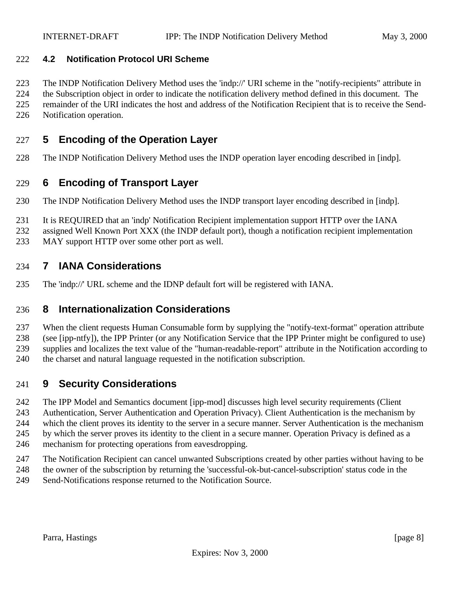#### **4.2 Notification Protocol URI Scheme**

 The INDP Notification Delivery Method uses the 'indp://' URI scheme in the "notify-recipients" attribute in the Subscription object in order to indicate the notification delivery method defined in this document. The

remainder of the URI indicates the host and address of the Notification Recipient that is to receive the Send-

Notification operation.

### **5 Encoding of the Operation Layer**

The INDP Notification Delivery Method uses the INDP operation layer encoding described in [indp].

#### **6 Encoding of Transport Layer**

- The INDP Notification Delivery Method uses the INDP transport layer encoding described in [indp].
- It is REQUIRED that an 'indp' Notification Recipient implementation support HTTP over the IANA
- assigned Well Known Port XXX (the INDP default port), though a notification recipient implementation
- MAY support HTTP over some other port as well.

#### **7 IANA Considerations**

The 'indp://' URL scheme and the IDNP default fort will be registered with IANA.

#### **8 Internationalization Considerations**

 When the client requests Human Consumable form by supplying the "notify-text-format" operation attribute (see [ipp-ntfy]), the IPP Printer (or any Notification Service that the IPP Printer might be configured to use) supplies and localizes the text value of the "human-readable-report" attribute in the Notification according to

the charset and natural language requested in the notification subscription.

### **9 Security Considerations**

The IPP Model and Semantics document [ipp-mod] discusses high level security requirements (Client

Authentication, Server Authentication and Operation Privacy). Client Authentication is the mechanism by

which the client proves its identity to the server in a secure manner. Server Authentication is the mechanism

by which the server proves its identity to the client in a secure manner. Operation Privacy is defined as a

- mechanism for protecting operations from eavesdropping.
- The Notification Recipient can cancel unwanted Subscriptions created by other parties without having to be
- the owner of the subscription by returning the 'successful-ok-but-cancel-subscription' status code in the
- Send-Notifications response returned to the Notification Source.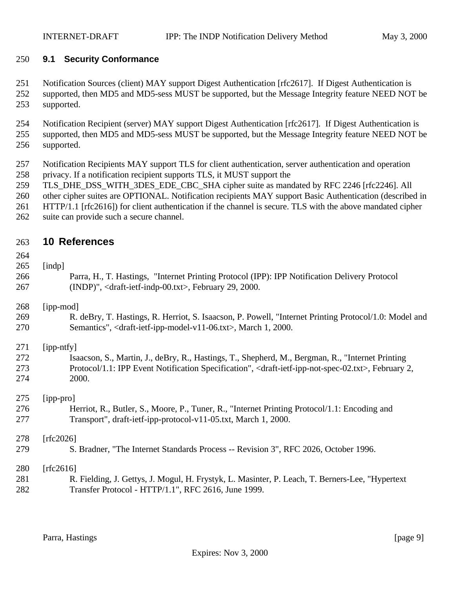#### **9.1 Security Conformance**

 Notification Sources (client) MAY support Digest Authentication [rfc2617]. If Digest Authentication is supported, then MD5 and MD5-sess MUST be supported, but the Message Integrity feature NEED NOT be supported.

 Notification Recipient (server) MAY support Digest Authentication [rfc2617]. If Digest Authentication is supported, then MD5 and MD5-sess MUST be supported, but the Message Integrity feature NEED NOT be supported.

- Notification Recipients MAY support TLS for client authentication, server authentication and operation privacy. If a notification recipient supports TLS, it MUST support the
- TLS\_DHE\_DSS\_WITH\_3DES\_EDE\_CBC\_SHA cipher suite as mandated by RFC 2246 [rfc2246]. All
- other cipher suites are OPTIONAL. Notification recipients MAY support Basic Authentication (described in
- HTTP/1.1 [rfc2616]) for client authentication if the channel is secure. TLS with the above mandated cipher
- suite can provide such a secure channel.

#### **10 References**

#### [indp]

 Parra, H., T. Hastings, "Internet Printing Protocol (IPP): IPP Notification Delivery Protocol (INDP)", <draft-ietf-indp-00.txt>, February 29, 2000.

[ipp-mod]

 R. deBry, T. Hastings, R. Herriot, S. Isaacson, P. Powell, "Internet Printing Protocol/1.0: Model and Semantics", <draft-ietf-ipp-model-v11-06.txt>, March 1, 2000.

[ipp-ntfy]

 Isaacson, S., Martin, J., deBry, R., Hastings, T., Shepherd, M., Bergman, R., "Internet Printing Protocol/1.1: IPP Event Notification Specification", <draft-ietf-ipp-not-spec-02.txt>, February 2, 2000.

[ipp-pro]

 Herriot, R., Butler, S., Moore, P., Tuner, R., "Internet Printing Protocol/1.1: Encoding and Transport", draft-ietf-ipp-protocol-v11-05.txt, March 1, 2000.

[rfc2026]

S. Bradner, "The Internet Standards Process -- Revision 3", RFC 2026, October 1996.

[rfc2616]

 R. Fielding, J. Gettys, J. Mogul, H. Frystyk, L. Masinter, P. Leach, T. Berners-Lee, "Hypertext Transfer Protocol - HTTP/1.1", RFC 2616, June 1999.